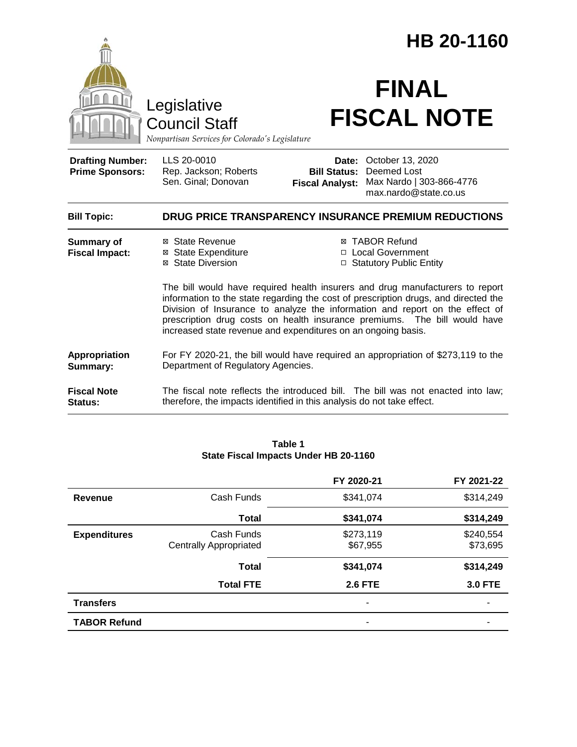|                                                   |                                                                                                                                                                                                                                                                                                                                                                                                    |                                                        | HB 20-1160                                                                           |
|---------------------------------------------------|----------------------------------------------------------------------------------------------------------------------------------------------------------------------------------------------------------------------------------------------------------------------------------------------------------------------------------------------------------------------------------------------------|--------------------------------------------------------|--------------------------------------------------------------------------------------|
|                                                   | Legislative<br><b>Council Staff</b><br>Nonpartisan Services for Colorado's Legislature                                                                                                                                                                                                                                                                                                             |                                                        | <b>FINAL</b><br><b>FISCAL NOTE</b>                                                   |
| <b>Drafting Number:</b><br><b>Prime Sponsors:</b> | LLS 20-0010<br>Rep. Jackson; Roberts<br>Sen. Ginal; Donovan                                                                                                                                                                                                                                                                                                                                        | Date:<br><b>Bill Status:</b><br><b>Fiscal Analyst:</b> | October 13, 2020<br>Deemed Lost<br>Max Nardo   303-866-4776<br>max.nardo@state.co.us |
| <b>Bill Topic:</b>                                |                                                                                                                                                                                                                                                                                                                                                                                                    |                                                        | DRUG PRICE TRANSPARENCY INSURANCE PREMIUM REDUCTIONS                                 |
| <b>Summary of</b><br><b>Fiscal Impact:</b>        | ⊠ State Revenue<br><b>⊠</b> State Expenditure<br>⊠ State Diversion                                                                                                                                                                                                                                                                                                                                 |                                                        | <b>⊠ TABOR Refund</b><br>□ Local Government<br>□ Statutory Public Entity             |
|                                                   | The bill would have required health insurers and drug manufacturers to report<br>information to the state regarding the cost of prescription drugs, and directed the<br>Division of Insurance to analyze the information and report on the effect of<br>prescription drug costs on health insurance premiums. The bill would have<br>increased state revenue and expenditures on an ongoing basis. |                                                        |                                                                                      |
| Appropriation<br>Summary:                         | For FY 2020-21, the bill would have required an appropriation of \$273,119 to the<br>Department of Regulatory Agencies.                                                                                                                                                                                                                                                                            |                                                        |                                                                                      |
| <b>Fiscal Note</b><br>Status:                     | therefore, the impacts identified in this analysis do not take effect.                                                                                                                                                                                                                                                                                                                             |                                                        | The fiscal note reflects the introduced bill. The bill was not enacted into law;     |

|                     |                                             | FY 2020-21            | FY 2021-22            |
|---------------------|---------------------------------------------|-----------------------|-----------------------|
| Revenue             | Cash Funds                                  | \$341,074             | \$314,249             |
|                     | <b>Total</b>                                | \$341,074             | \$314,249             |
| <b>Expenditures</b> | Cash Funds<br><b>Centrally Appropriated</b> | \$273,119<br>\$67,955 | \$240,554<br>\$73,695 |
|                     | <b>Total</b>                                | \$341,074             | \$314,249             |
|                     | <b>Total FTE</b>                            | <b>2.6 FTE</b>        | <b>3.0 FTE</b>        |
| <b>Transfers</b>    |                                             | ۰                     | ۰                     |
| <b>TABOR Refund</b> |                                             |                       |                       |

#### **Table 1 State Fiscal Impacts Under HB 20-1160**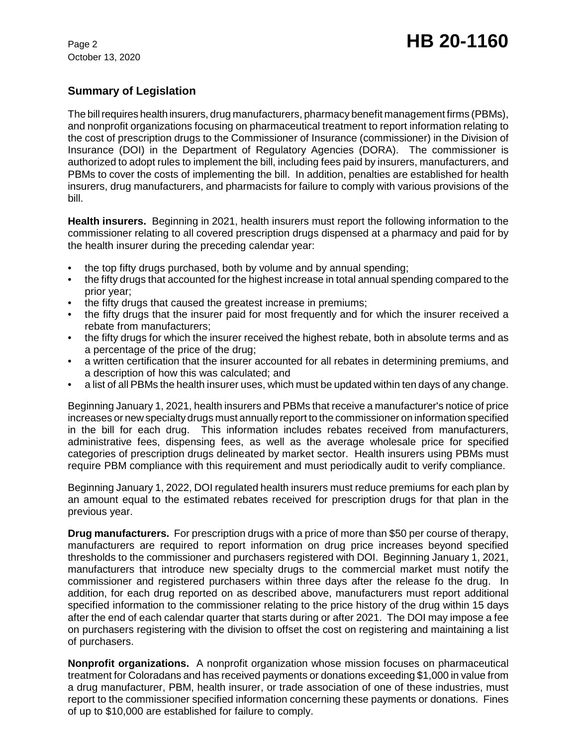October 13, 2020

# **Summary of Legislation**

The bill requires health insurers, drug manufacturers, pharmacy benefit management firms (PBMs), and nonprofit organizations focusing on pharmaceutical treatment to report information relating to the cost of prescription drugs to the Commissioner of Insurance (commissioner) in the Division of Insurance (DOI) in the Department of Regulatory Agencies (DORA). The commissioner is authorized to adopt rules to implement the bill, including fees paid by insurers, manufacturers, and PBMs to cover the costs of implementing the bill. In addition, penalties are established for health insurers, drug manufacturers, and pharmacists for failure to comply with various provisions of the bill.

**Health insurers.** Beginning in 2021, health insurers must report the following information to the commissioner relating to all covered prescription drugs dispensed at a pharmacy and paid for by the health insurer during the preceding calendar year:

- the top fifty drugs purchased, both by volume and by annual spending;
- the fifty drugs that accounted for the highest increase in total annual spending compared to the prior year;
- the fifty drugs that caused the greatest increase in premiums:
- the fifty drugs that the insurer paid for most frequently and for which the insurer received a rebate from manufacturers;
- the fifty drugs for which the insurer received the highest rebate, both in absolute terms and as a percentage of the price of the drug;
- a written certification that the insurer accounted for all rebates in determining premiums, and a description of how this was calculated; and
- a list of all PBMs the health insurer uses, which must be updated within ten days of any change.

Beginning January 1, 2021, health insurers and PBMs that receive a manufacturer's notice of price increases or new specialty drugs must annually report to the commissioner on information specified in the bill for each drug. This information includes rebates received from manufacturers, administrative fees, dispensing fees, as well as the average wholesale price for specified categories of prescription drugs delineated by market sector. Health insurers using PBMs must require PBM compliance with this requirement and must periodically audit to verify compliance.

Beginning January 1, 2022, DOI regulated health insurers must reduce premiums for each plan by an amount equal to the estimated rebates received for prescription drugs for that plan in the previous year.

**Drug manufacturers.** For prescription drugs with a price of more than \$50 per course of therapy, manufacturers are required to report information on drug price increases beyond specified thresholds to the commissioner and purchasers registered with DOI. Beginning January 1, 2021, manufacturers that introduce new specialty drugs to the commercial market must notify the commissioner and registered purchasers within three days after the release fo the drug. In addition, for each drug reported on as described above, manufacturers must report additional specified information to the commissioner relating to the price history of the drug within 15 days after the end of each calendar quarter that starts during or after 2021. The DOI may impose a fee on purchasers registering with the division to offset the cost on registering and maintaining a list of purchasers.

**Nonprofit organizations.** A nonprofit organization whose mission focuses on pharmaceutical treatment for Coloradans and has received payments or donations exceeding \$1,000 in value from a drug manufacturer, PBM, health insurer, or trade association of one of these industries, must report to the commissioner specified information concerning these payments or donations. Fines of up to \$10,000 are established for failure to comply.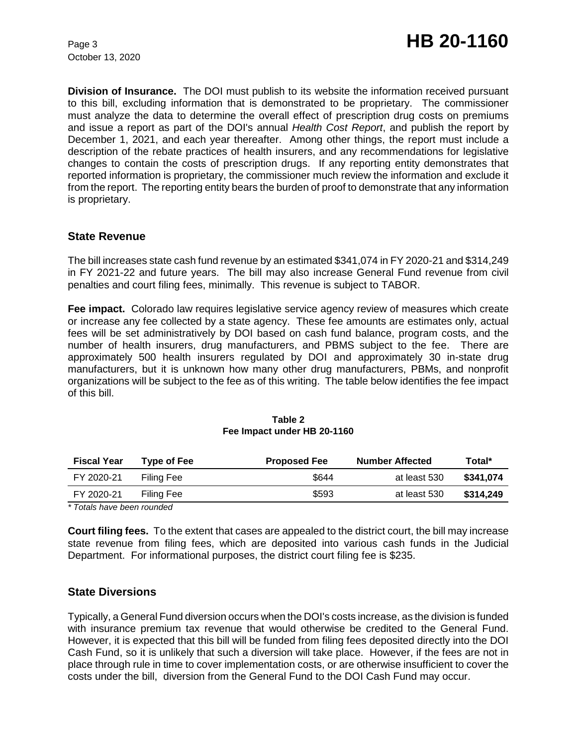October 13, 2020

**Division of Insurance.** The DOI must publish to its website the information received pursuant to this bill, excluding information that is demonstrated to be proprietary. The commissioner must analyze the data to determine the overall effect of prescription drug costs on premiums and issue a report as part of the DOI's annual *Health Cost Report*, and publish the report by December 1, 2021, and each year thereafter. Among other things, the report must include a description of the rebate practices of health insurers, and any recommendations for legislative changes to contain the costs of prescription drugs. If any reporting entity demonstrates that reported information is proprietary, the commissioner much review the information and exclude it from the report. The reporting entity bears the burden of proof to demonstrate that any information is proprietary.

### **State Revenue**

The bill increases state cash fund revenue by an estimated \$341,074 in FY 2020-21 and \$314,249 in FY 2021-22 and future years. The bill may also increase General Fund revenue from civil penalties and court filing fees, minimally. This revenue is subject to TABOR.

**Fee impact.** Colorado law requires legislative service agency review of measures which create or increase any fee collected by a state agency. These fee amounts are estimates only, actual fees will be set administratively by DOI based on cash fund balance, program costs, and the number of health insurers, drug manufacturers, and PBMS subject to the fee. There are approximately 500 health insurers regulated by DOI and approximately 30 in-state drug manufacturers, but it is unknown how many other drug manufacturers, PBMs, and nonprofit organizations will be subject to the fee as of this writing. The table below identifies the fee impact of this bill.

| <b>Fiscal Year</b> | Type of Fee | <b>Proposed Fee</b> | <b>Number Affected</b> | Total*    |
|--------------------|-------------|---------------------|------------------------|-----------|
| FY 2020-21         | Filing Fee  | \$644               | at least 530           | \$341.074 |
| FY 2020-21         | Filing Fee  | \$593               | at least 530           | \$314.249 |

#### **Table 2 Fee Impact under HB 20-1160**

*\* Totals have been rounded*

**Court filing fees.** To the extent that cases are appealed to the district court, the bill may increase state revenue from filing fees, which are deposited into various cash funds in the Judicial Department. For informational purposes, the district court filing fee is \$235.

### **State Diversions**

Typically, a General Fund diversion occurs when the DOI's costs increase, as the division is funded with insurance premium tax revenue that would otherwise be credited to the General Fund. However, it is expected that this bill will be funded from filing fees deposited directly into the DOI Cash Fund, so it is unlikely that such a diversion will take place. However, if the fees are not in place through rule in time to cover implementation costs, or are otherwise insufficient to cover the costs under the bill, diversion from the General Fund to the DOI Cash Fund may occur.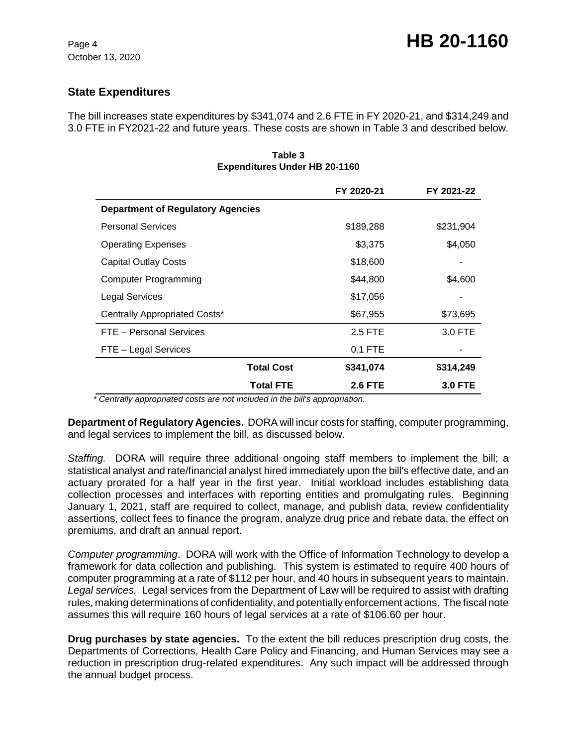# **State Expenditures**

The bill increases state expenditures by \$341,074 and 2.6 FTE in FY 2020-21, and \$314,249 and 3.0 FTE in FY2021-22 and future years. These costs are shown in Table 3 and described below.

|                                          | FY 2020-21     | FY 2021-22     |
|------------------------------------------|----------------|----------------|
| <b>Department of Regulatory Agencies</b> |                |                |
| <b>Personal Services</b>                 | \$189,288      | \$231,904      |
| <b>Operating Expenses</b>                | \$3,375        | \$4,050        |
| <b>Capital Outlay Costs</b>              | \$18,600       |                |
| <b>Computer Programming</b>              | \$44,800       | \$4,600        |
| Legal Services                           | \$17,056       |                |
| Centrally Appropriated Costs*            | \$67,955       | \$73,695       |
| FTE - Personal Services                  | 2.5 FTE        | 3.0 FTE        |
| FTE - Legal Services                     | $0.1$ FTE      |                |
| <b>Total Cost</b>                        | \$341,074      | \$314,249      |
| <b>Total FTE</b>                         | <b>2.6 FTE</b> | <b>3.0 FTE</b> |

**Table 3 Expenditures Under HB 20-1160**

 *\* Centrally appropriated costs are not included in the bill's appropriation.*

**Department of Regulatory Agencies.** DORA will incur costs for staffing, computer programming, and legal services to implement the bill, as discussed below.

*Staffing.* DORA will require three additional ongoing staff members to implement the bill; a statistical analyst and rate/financial analyst hired immediately upon the bill's effective date, and an actuary prorated for a half year in the first year. Initial workload includes establishing data collection processes and interfaces with reporting entities and promulgating rules. Beginning January 1, 2021, staff are required to collect, manage, and publish data, review confidentiality assertions, collect fees to finance the program, analyze drug price and rebate data, the effect on premiums, and draft an annual report.

*Computer programming*. DORA will work with the Office of Information Technology to develop a framework for data collection and publishing. This system is estimated to require 400 hours of computer programming at a rate of \$112 per hour, and 40 hours in subsequent years to maintain. *Legal services.* Legal services from the Department of Law will be required to assist with drafting rules, making determinations of confidentiality, and potentially enforcement actions. The fiscal note assumes this will require 160 hours of legal services at a rate of \$106.60 per hour.

**Drug purchases by state agencies.** To the extent the bill reduces prescription drug costs, the Departments of Corrections, Health Care Policy and Financing, and Human Services may see a reduction in prescription drug-related expenditures. Any such impact will be addressed through the annual budget process.